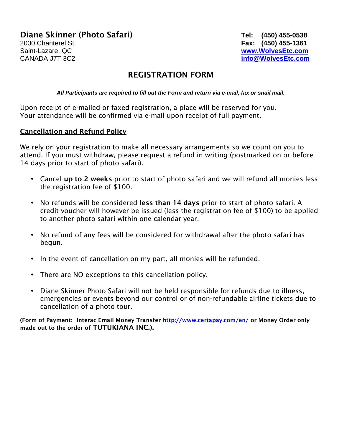# Diane Skinner (Photo Safari) **Tel: (450) 455-0538**

2030 Chanterel St. **Fax: (450) 455-1361**  Saint-Lazare, QC **www.WolvesEtc.com** CANADA J7T 3C2 **info@WolvesEtc.com**

# REGISTRATION FORM

**All Participants are required to fill out the Form and return via e-mail, fax or snail mail.**

Upon receipt of e-mailed or faxed registration, a place will be reserved for you. Your attendance will be confirmed via e-mail upon receipt of full payment.

## Cancellation and Refund Policy

We rely on your registration to make all necessary arrangements so we count on you to attend. If you must withdraw, please request a refund in writing (postmarked on or before 14 days prior to start of photo safari).

- Cancel up to 2 weeks prior to start of photo safari and we will refund all monies less the registration fee of \$100.
- No refunds will be considered less than 14 days prior to start of photo safari. A credit voucher will however be issued (less the registration fee of \$100) to be applied to another photo safari within one calendar year.
- No refund of any fees will be considered for withdrawal after the photo safari has begun.
- In the event of cancellation on my part, all monies will be refunded.
- There are NO exceptions to this cancellation policy.
- Diane Skinner Photo Safari will not be held responsible for refunds due to illness, emergencies or events beyond our control or of non-refundable airline tickets due to cancellation of a photo tour.

(Form of Payment: Interac Email Money Transfer http://www.certapay.com/en/ or Money Order only made out to the order of TUTUKIANA INC.).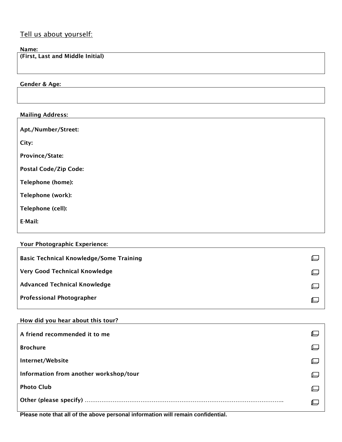## Tell us about yourself:

#### Name:

(First, Last and Middle Initial)

Gender & Age:

| <b>Mailing Address:</b>      |  |
|------------------------------|--|
| Apt./Number/Street:          |  |
| City:                        |  |
| Province/State:              |  |
| <b>Postal Code/Zip Code:</b> |  |
| Telephone (home):            |  |
| Telephone (work):            |  |
| Telephone (cell):            |  |
| E-Mail:                      |  |
|                              |  |

| <b>Your Photographic Experience:</b> |  |
|--------------------------------------|--|
|                                      |  |

| <b>Basic Technical Knowledge/Some Training</b> |  |
|------------------------------------------------|--|
| <b>Very Good Technical Knowledge</b>           |  |
| <b>Advanced Technical Knowledge</b>            |  |
| <b>Professional Photographer</b>               |  |

### How did you hear about this tour?

| A friend recommended it to me          |  |
|----------------------------------------|--|
| <b>Brochure</b>                        |  |
| Internet/Website                       |  |
| Information from another workshop/tour |  |
| <b>Photo Club</b>                      |  |
|                                        |  |

**Please note that all of the above personal information will remain confidential.**